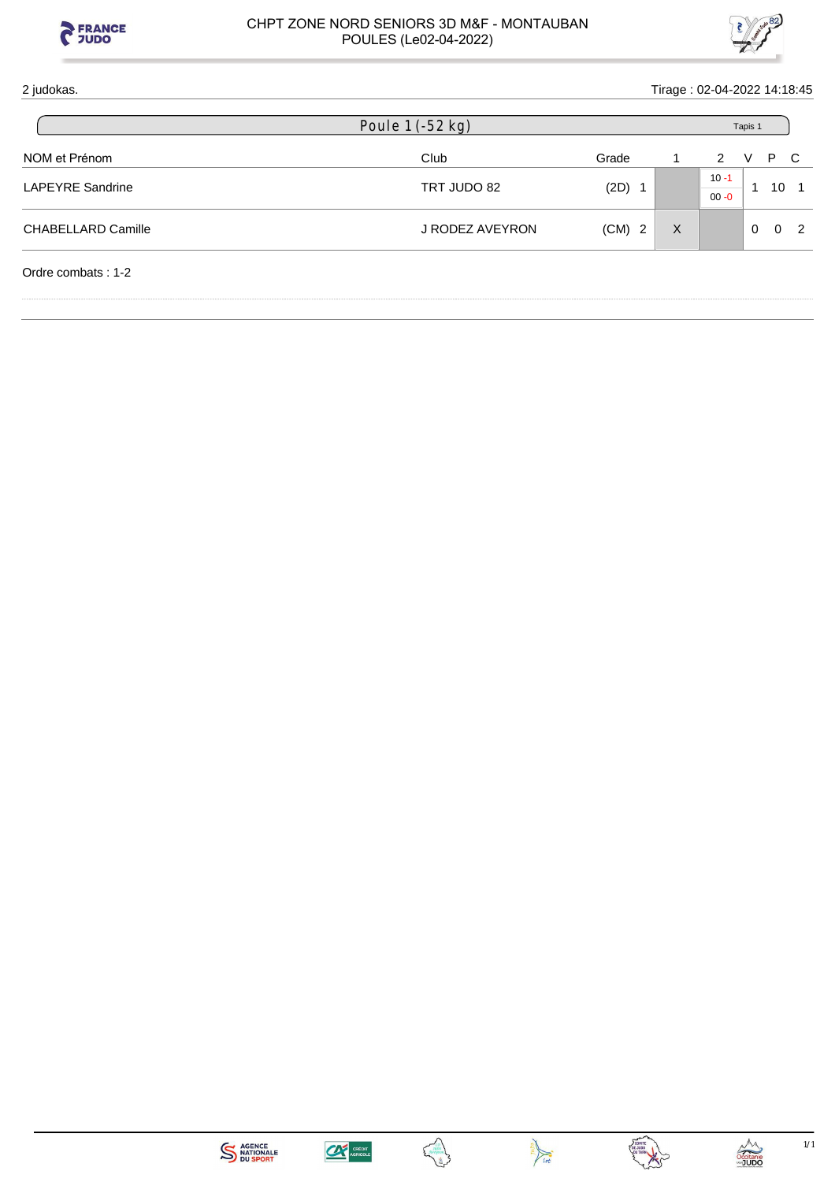



| 2 judokas.                | Tirage: 02-04-2022 14:18:45 |          |   |                      |          |          |    |  |  |  |
|---------------------------|-----------------------------|----------|---|----------------------|----------|----------|----|--|--|--|
|                           | Poule $1$ ( $-52$ kg)       |          |   |                      | Tapis 1  |          |    |  |  |  |
| NOM et Prénom             | Club                        | Grade    |   | 2                    | V        | P.       | C. |  |  |  |
| <b>LAPEYRE Sandrine</b>   | TRT JUDO 82                 | $(2D)$ 1 |   | $10 - 1$<br>$00 - 0$ |          | 10       |    |  |  |  |
| <b>CHABELLARD Camille</b> | J RODEZ AVEYRON             | $(CM)$ 2 | X |                      | $\Omega$ | $\Omega$ | 2  |  |  |  |
| Ordre combats: 1-2        |                             |          |   |                      |          |          |    |  |  |  |









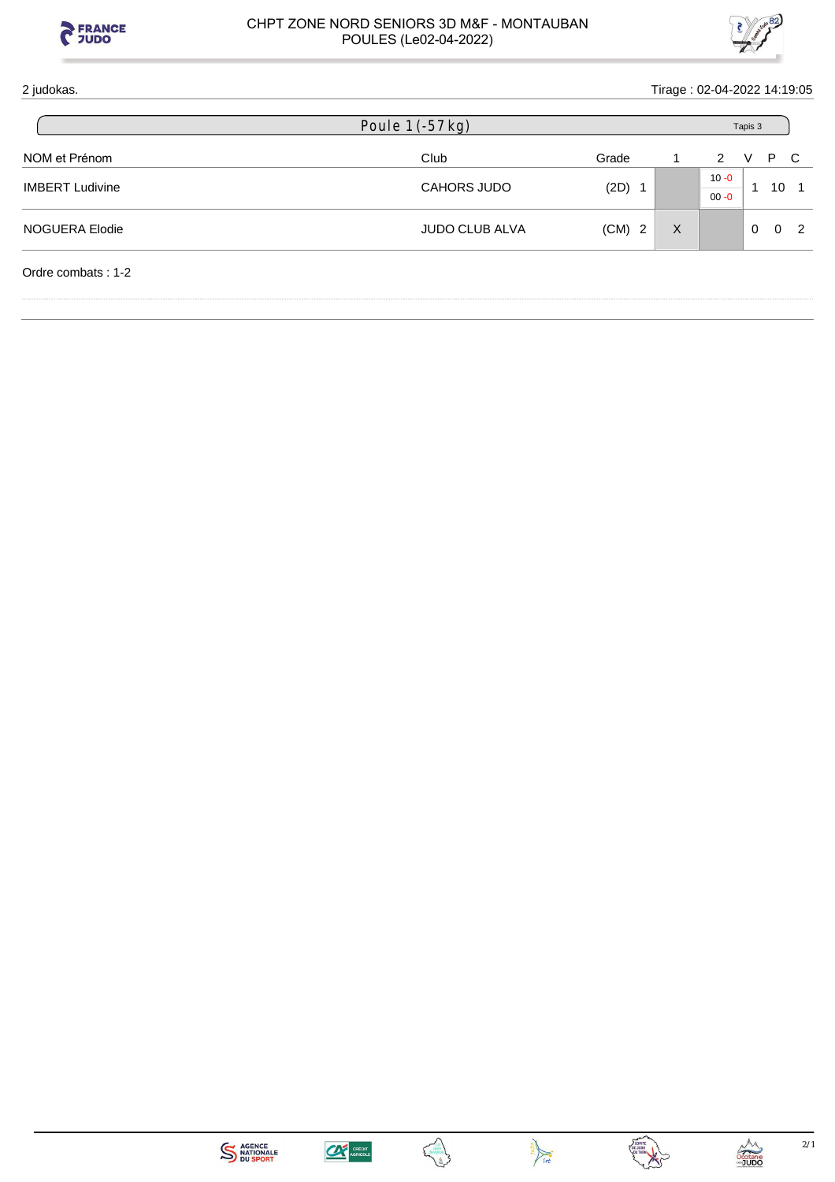



| 2 judokas.             |                       |          | Tirage: 02-04-2022 14:19:05 |                      |                      |              |
|------------------------|-----------------------|----------|-----------------------------|----------------------|----------------------|--------------|
|                        | Poule $1(-57 kg)$     |          |                             | Tapis 3              |                      |              |
| NOM et Prénom          | Club                  | Grade    |                             | 2                    | P<br>v               | $\mathbf{C}$ |
| <b>IMBERT Ludivine</b> | CAHORS JUDO           | $(2D)$ 1 |                             | $10 - 0$<br>$00 - 0$ | 10                   |              |
| NOGUERA Elodie         | <b>JUDO CLUB ALVA</b> | $(CM)$ 2 | $\times$                    |                      | $\Omega$<br>$\Omega$ | 2            |
| Ordre combats: 1-2     |                       |          |                             |                      |                      |              |







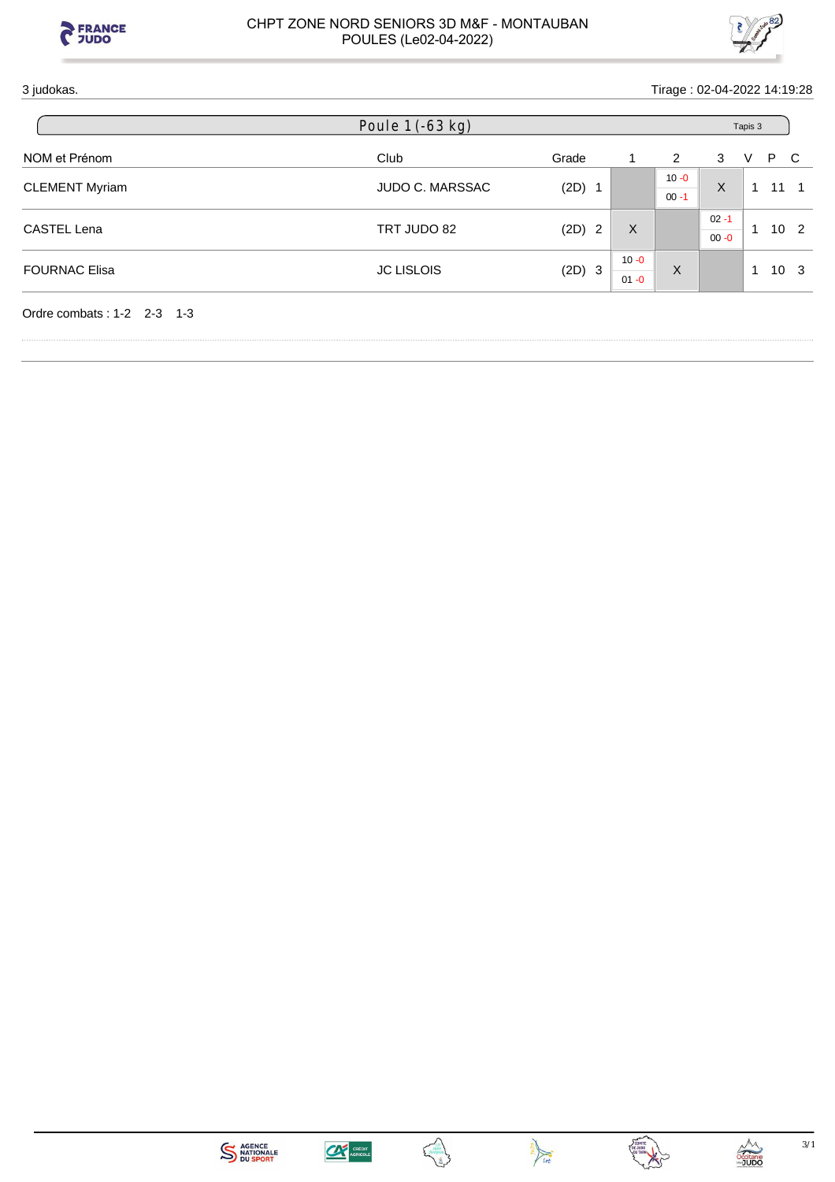



# 3 judokas. Tirage : 02-04-2022 14:19:28

|                       | Poule 1 (-63 kg)       |          |          |          | Tapis 3  |                 |     |                 |  |  |
|-----------------------|------------------------|----------|----------|----------|----------|-----------------|-----|-----------------|--|--|
| NOM et Prénom         | Club                   | Grade    |          | 2        | 3        | V               | P C |                 |  |  |
| <b>CLEMENT Myriam</b> |                        |          |          | $10 - 0$ | X        | 1               |     | $11 \quad 1$    |  |  |
|                       | <b>JUDO C. MARSSAC</b> | $(2D)$ 1 |          | $00 - 1$ |          |                 |     |                 |  |  |
| <b>CASTEL Lena</b>    | TRT JUDO 82            |          | X        |          | $02 - 1$ | 10 <sub>2</sub> |     |                 |  |  |
|                       |                        | $(2D)$ 2 |          |          | $00 - 0$ |                 |     |                 |  |  |
|                       |                        |          | $10 - 0$ |          |          |                 |     |                 |  |  |
| <b>FOURNAC Elisa</b>  | <b>JC LISLOIS</b>      | (2D) 3   | $01 - 0$ | X        |          | 1               |     | 10 <sup>3</sup> |  |  |









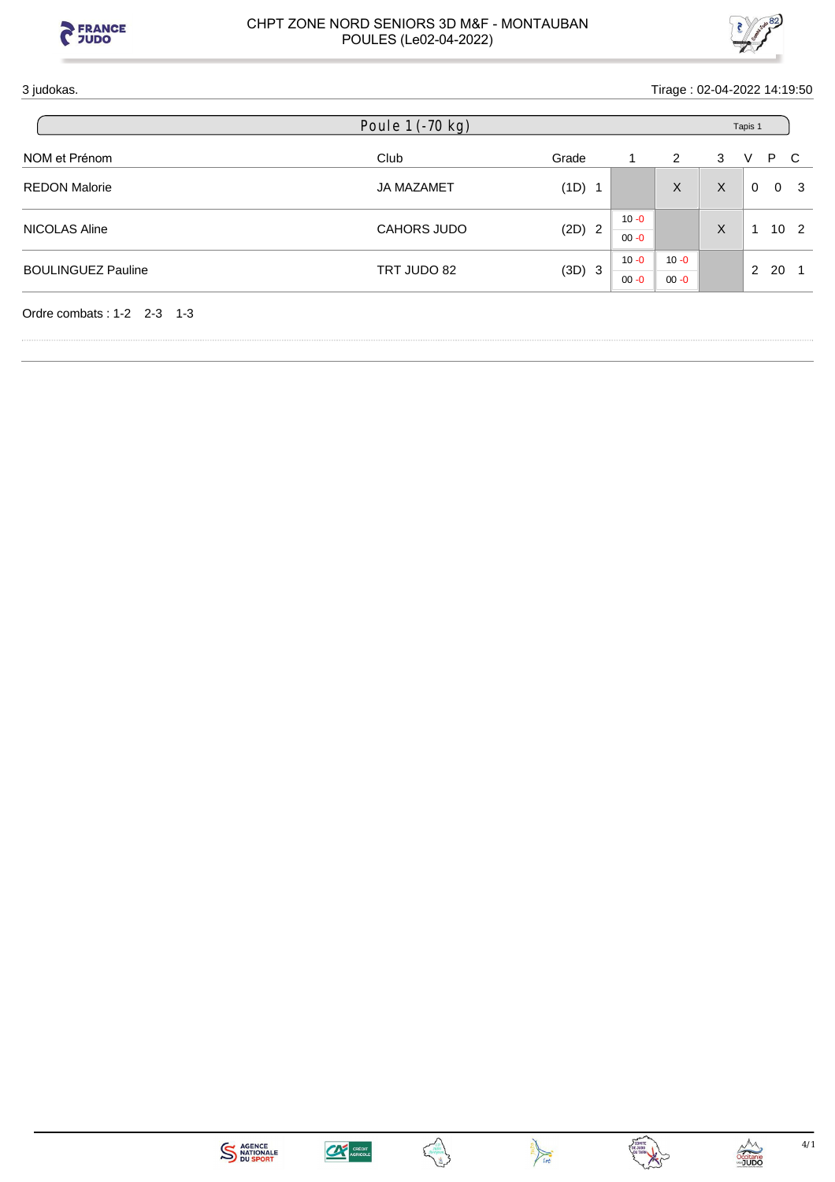



# 3 judokas. Tirage : 02-04-2022 14:19:50

|                           | Poule 1 (-70 kg)  |          |          |          | Tapis 1 |   |                |                 |  |  |
|---------------------------|-------------------|----------|----------|----------|---------|---|----------------|-----------------|--|--|
| NOM et Prénom             | Club              | Grade    |          | 2        | 3       | V | P.             | - C             |  |  |
| <b>REDON Malorie</b>      | <b>JA MAZAMET</b> | (1D) 1   |          | X        | X       | 0 | $\overline{0}$ | - 3             |  |  |
| NICOLAS Aline             | CAHORS JUDO       | $(2D)$ 2 | $10 - 0$ |          |         |   |                | 10 <sub>2</sub> |  |  |
|                           |                   |          | $00 - 0$ |          | X       |   |                |                 |  |  |
| <b>BOULINGUEZ Pauline</b> | TRT JUDO 82       |          | $10 - 0$ | $10 - 0$ |         |   | - 20           |                 |  |  |
|                           |                   | (3D) 3   | $00 - 0$ | $00 - 0$ |         | 2 |                |                 |  |  |









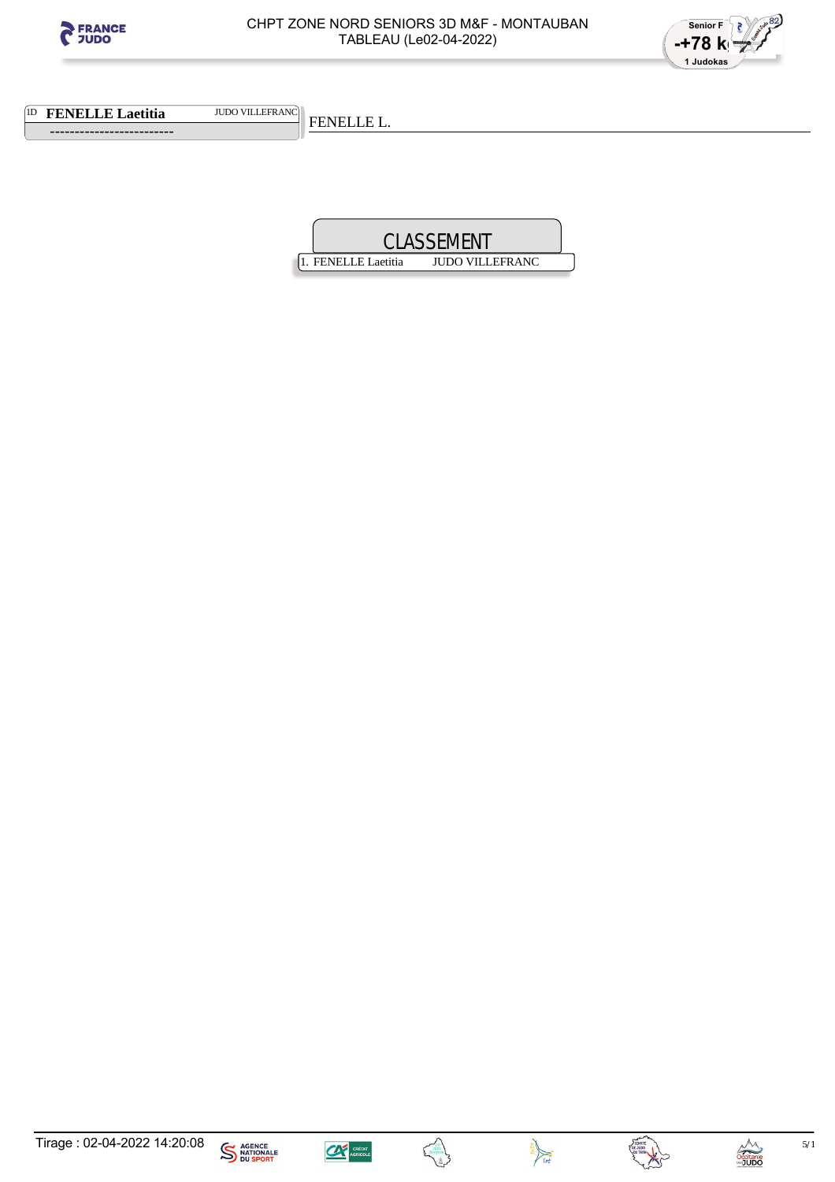



1D **FENELLE Laetitia** JUDO VILLEFRANC

 **-------------------------** 

FENELLE L.











 $5/1$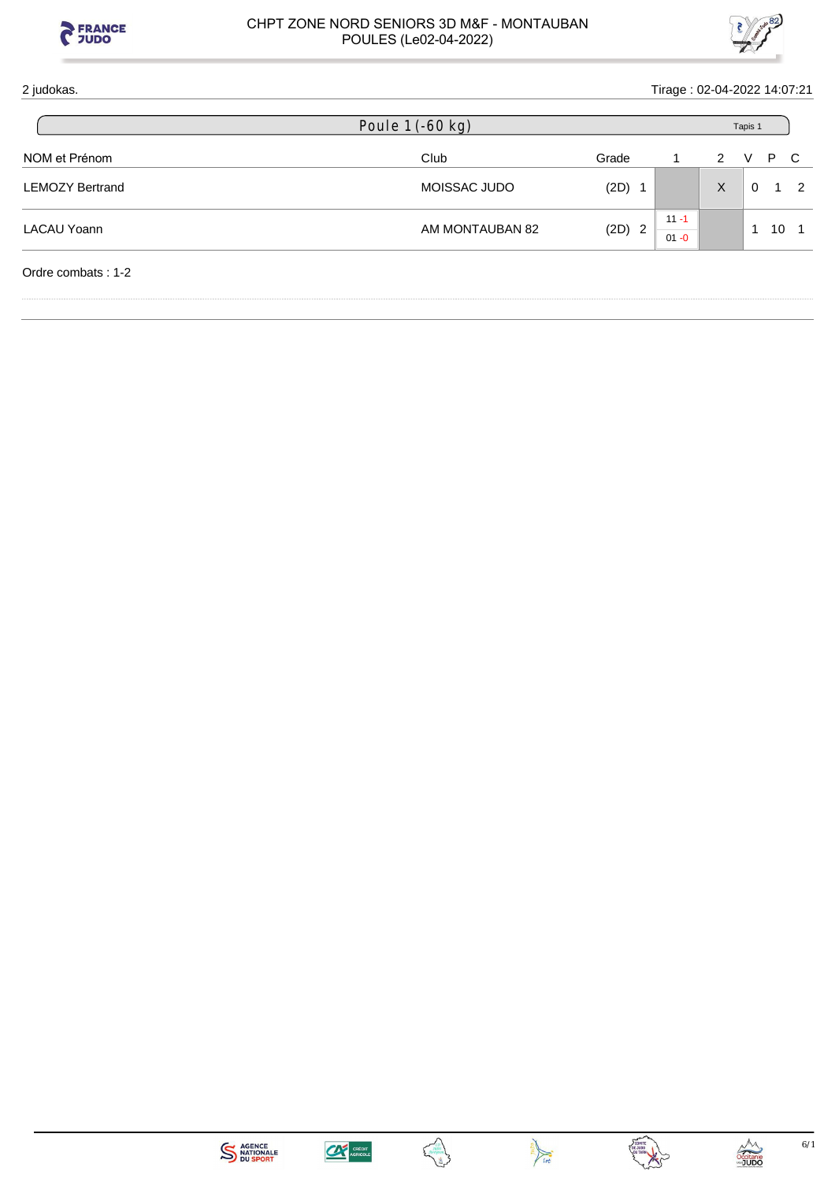



| 2 judokas.             |                  |          | Tirage: 02-04-2022 14:07:21 |              |          |     |                |
|------------------------|------------------|----------|-----------------------------|--------------|----------|-----|----------------|
|                        | Poule 1 (-60 kg) |          |                             |              | Tapis 1  |     |                |
| NOM et Prénom          | Club             | Grade    |                             | $\mathbf{2}$ | V        | P C |                |
| <b>LEMOZY Bertrand</b> | MOISSAC JUDO     | $(2D)$ 1 |                             | X            | $\Omega$ |     | $\overline{2}$ |
| LACAU Yoann            | AM MONTAUBAN 82  |          | $11 - 1$                    |              |          | 10  |                |
|                        |                  |          | $(2D)$ 2<br>$01 - 0$        |              |          |     |                |
| Ordre combats: 1-2     |                  |          |                             |              |          |     |                |







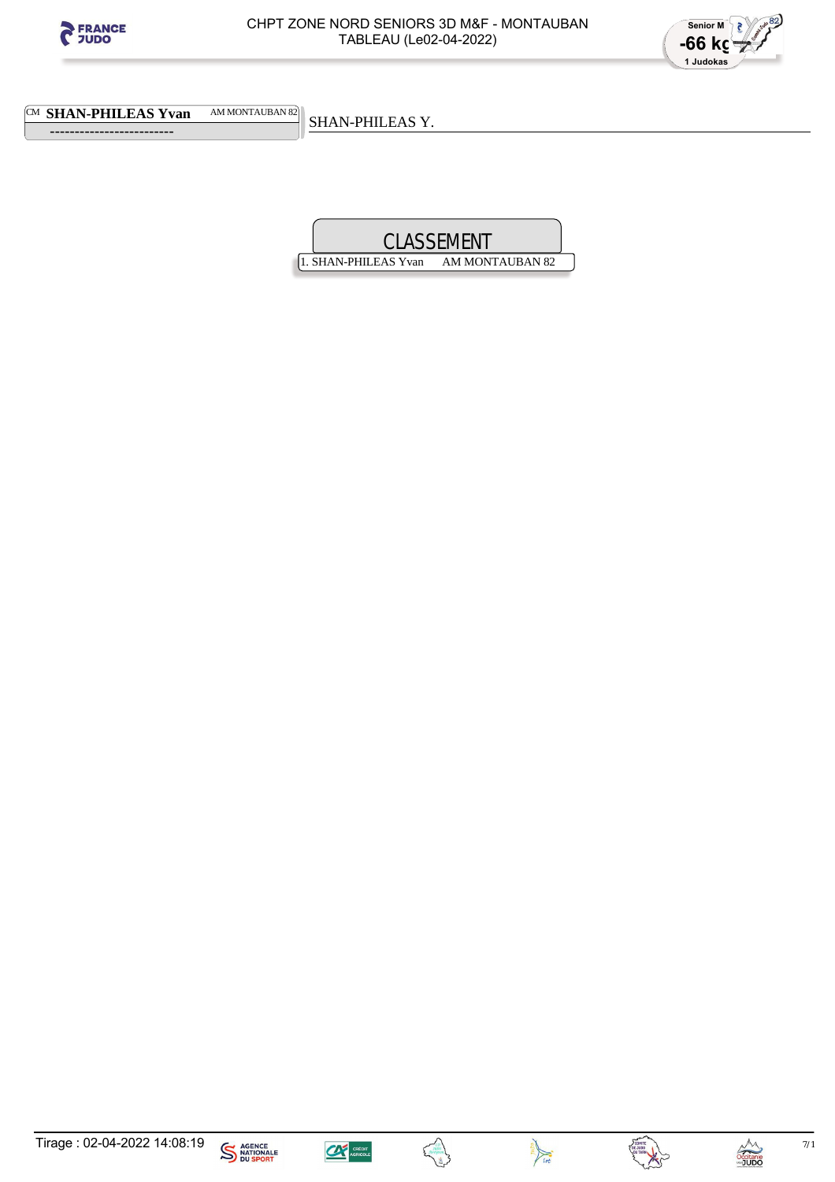



CM **SHAN-PHILEAS Yvan** AM MONTAUBAN 82

 **-------------------------** 

SHAN-PHILEAS Y.

1. SHAN-PHILEAS Yvan AM MONTAUBAN 82









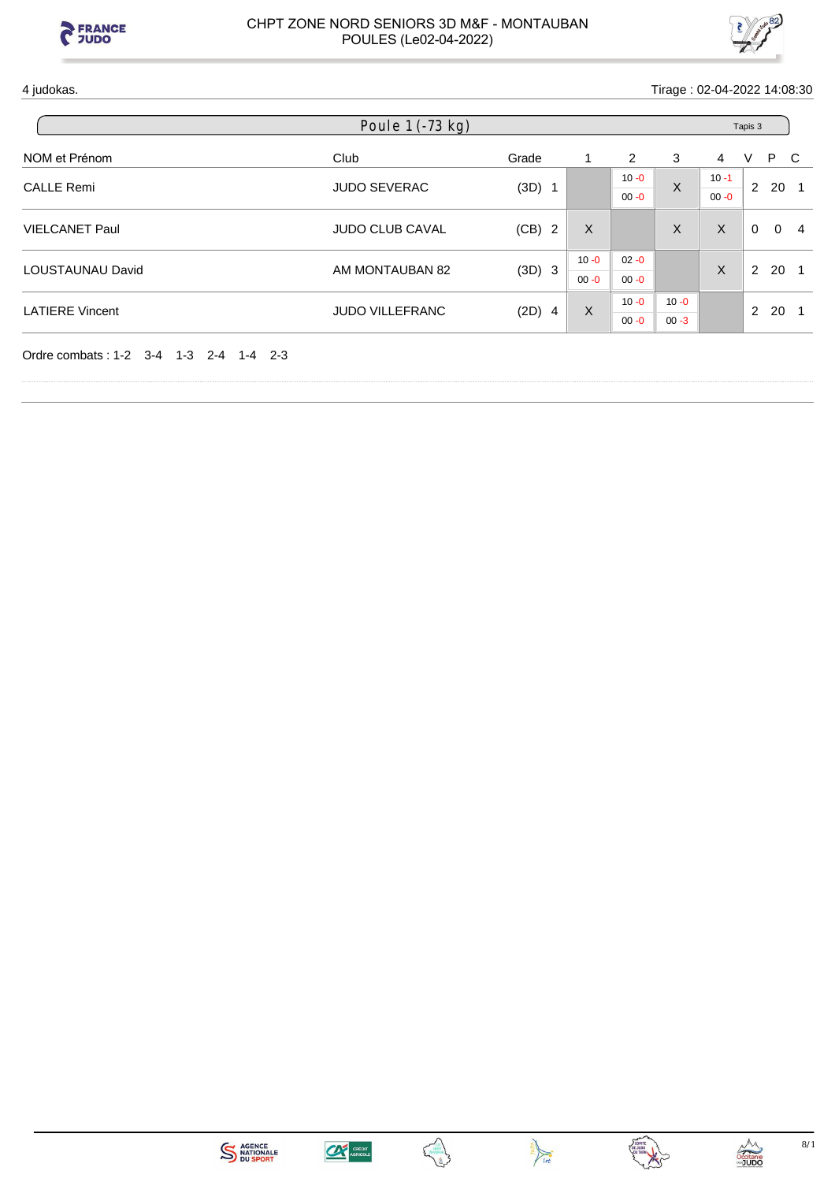



4 judokas. Tirage : 02-04-2022 14:08:30

|                         | Poule $1$ (-73 kg)     |          |          |                      |          | Tapis 3              |                      |   |  |  |  |
|-------------------------|------------------------|----------|----------|----------------------|----------|----------------------|----------------------|---|--|--|--|
| NOM et Prénom           | Club                   | Grade    | 1        | 2                    | 3        | 4                    | P C<br>V             |   |  |  |  |
| <b>CALLE Remi</b>       | <b>JUDO SEVERAC</b>    | $(3D)$ 1 |          | $10 - 0$<br>$00 - 0$ | $\times$ | $10 - 1$<br>$00 - 0$ | 2 20 1               |   |  |  |  |
| <b>VIELCANET Paul</b>   | <b>JUDO CLUB CAVAL</b> | (CB) 2   | X        |                      | X        | $\sf X$              | $\Omega$<br>$\Omega$ | 4 |  |  |  |
| <b>LOUSTAUNAU David</b> | AM MONTAUBAN 82        | (3D) 3   | $10 - 0$ | $02 - 0$             |          | X                    | 20 1<br>2            |   |  |  |  |
|                         |                        |          | $00 - 0$ | $00 - 0$             |          |                      |                      |   |  |  |  |
| <b>LATIERE Vincent</b>  | <b>JUDO VILLEFRANC</b> | $(2D)$ 4 | X        | $10 - 0$             | $10 - 0$ |                      | 2<br>20              |   |  |  |  |
|                         |                        |          |          | $00 - 0$             | $00 - 3$ |                      |                      |   |  |  |  |

Ordre combats : 1-2 3-4 1-3 2-4 1-4 2-3







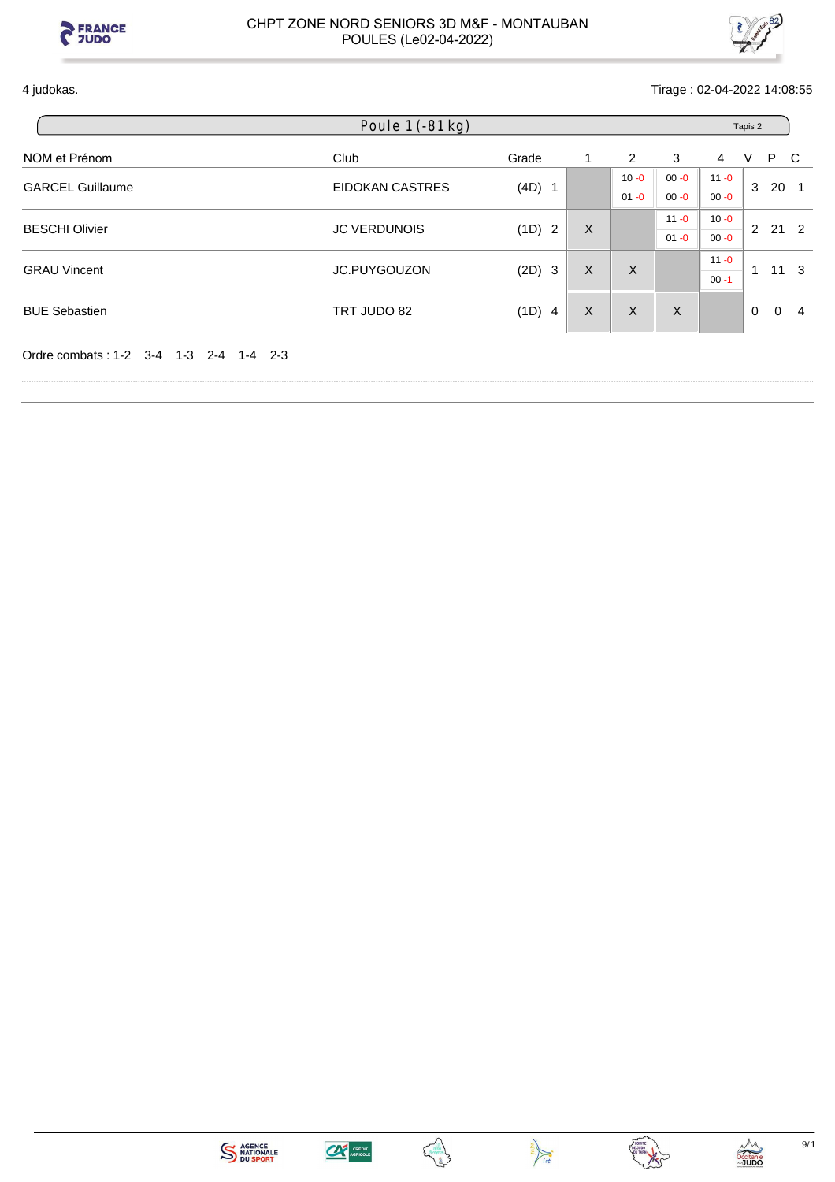



4 judokas. Tirage : 02-04-2022 14:08:55

| Poule 1 (-81 kg) |                                                               |                                |          |          |          | Tapis 2       |          |                                      |  |  |  |
|------------------|---------------------------------------------------------------|--------------------------------|----------|----------|----------|---------------|----------|--------------------------------------|--|--|--|
| Club             | Grade                                                         | 1                              | 2        | 3        | 4        | V             |          |                                      |  |  |  |
|                  |                                                               |                                | $10 - 0$ | $00 - 0$ | $11 - 0$ |               |          |                                      |  |  |  |
|                  |                                                               |                                | $01 - 0$ | $00 - 0$ | $00 - 0$ |               |          |                                      |  |  |  |
|                  |                                                               |                                |          | $11 - 0$ | $10 - 0$ | $\mathcal{P}$ |          |                                      |  |  |  |
|                  |                                                               |                                |          | $01 - 0$ | $00 - 0$ |               |          |                                      |  |  |  |
|                  |                                                               |                                |          |          | $11 - 0$ | 1             |          | - 3                                  |  |  |  |
|                  |                                                               |                                |          |          | $00 - 1$ |               |          |                                      |  |  |  |
| TRT JUDO 82      | (1D) 4                                                        | $\sf X$                        | $\sf X$  | X        |          | $\mathbf{0}$  | $\Omega$ | 4                                    |  |  |  |
|                  | EIDOKAN CASTRES<br><b>JC VERDUNOIS</b><br><b>JC.PUYGOUZON</b> | $(4D)$ 1<br>(1D) 2<br>$(2D)$ 3 | X<br>X   | $\times$ |          |               | 3        | P C<br>20 <sub>1</sub><br>21 2<br>11 |  |  |  |









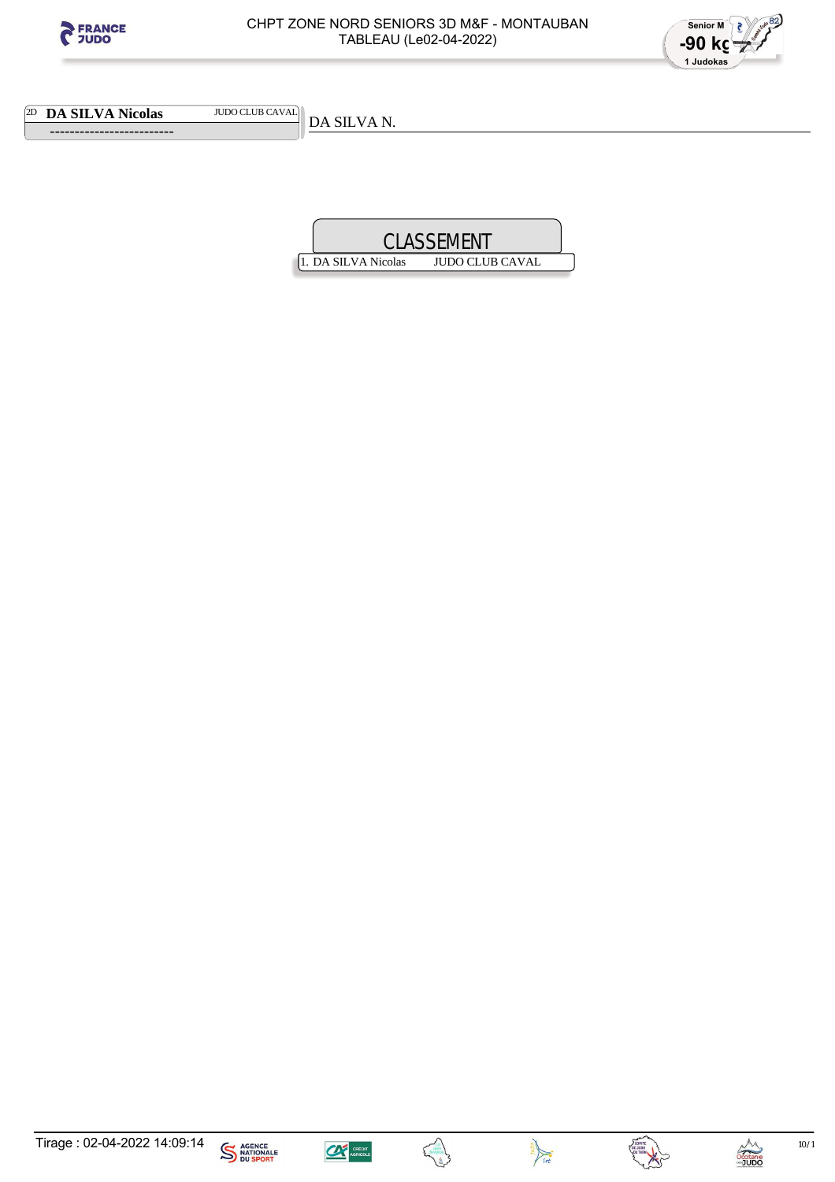



2D **DA SILVA Nicolas** JUDO CLUB CAVAL

 **-------------------------** 

DA SILVA N.











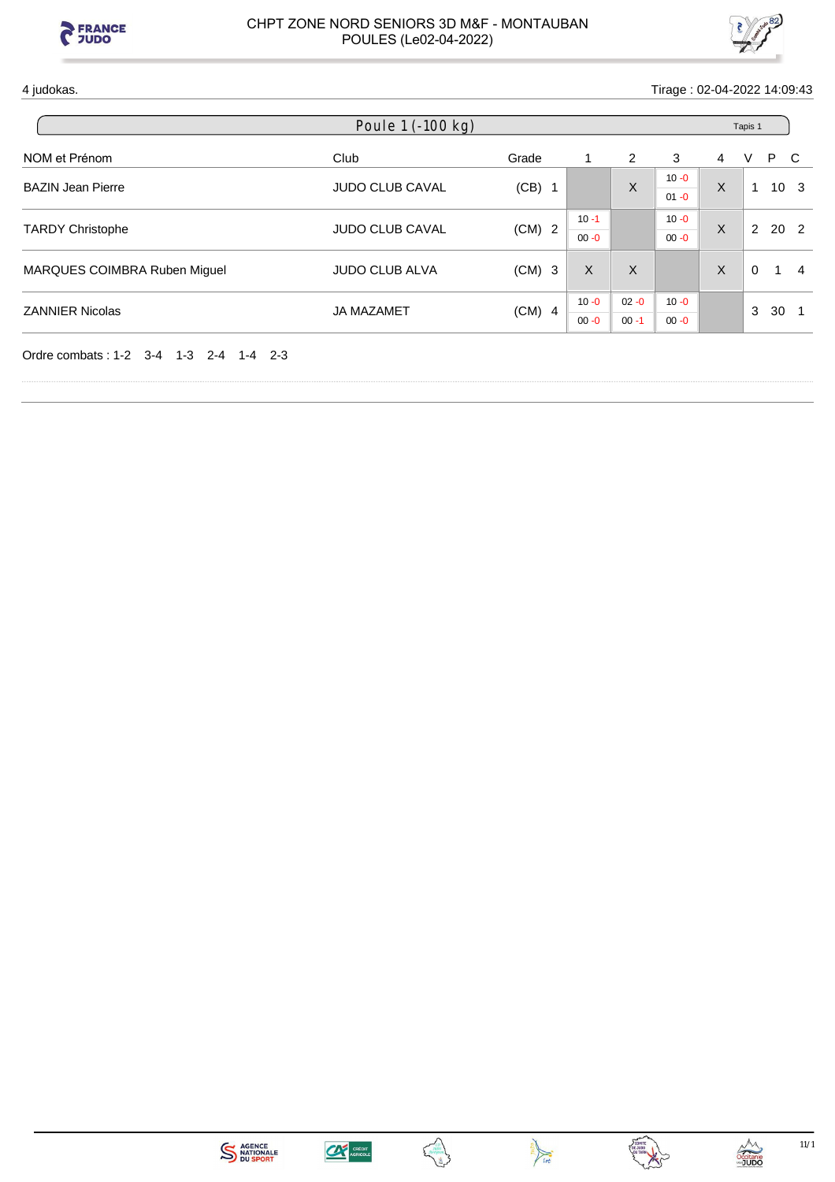



4 judokas. Tirage : 02-04-2022 14:09:43

| Poule 1 (-100 kg)            |                        |          |          |          |          |   | Tapis 1  |                 |              |
|------------------------------|------------------------|----------|----------|----------|----------|---|----------|-----------------|--------------|
| NOM et Prénom                | Club                   | Grade    |          | 2        | 3        | 4 | V        | P               | <sub>C</sub> |
| <b>BAZIN Jean Pierre</b>     | <b>JUDO CLUB CAVAL</b> | $(CB)$ 1 |          | X        | $10 - 0$ | X | 1        | 10 <sub>3</sub> |              |
|                              |                        |          |          |          | $01 - 0$ |   |          |                 |              |
| <b>TARDY Christophe</b>      | <b>JUDO CLUB CAVAL</b> | $(CM)$ 2 | $10 - 1$ |          | $10 - 0$ | X | 2        | 20 <sub>2</sub> |              |
|                              |                        |          | $00 - 0$ |          | $00 - 0$ |   |          |                 |              |
| MARQUES COIMBRA Ruben Miguel | <b>JUDO CLUB ALVA</b>  | $(CM)$ 3 | X        | X        |          | X | $\Omega$ | -1              | 4            |
|                              |                        |          |          |          |          |   |          |                 |              |
| <b>ZANNIER Nicolas</b>       | <b>JA MAZAMET</b>      | $(CM)$ 4 | $10 - 0$ | $02 - 0$ | $10 - 0$ |   |          | 30              |              |
|                              |                        |          | $00 - 0$ | $00 - 1$ | $00 - 0$ |   | 3        |                 |              |

Ordre combats : 1-2 3-4 1-3 2-4 1-4 2-3